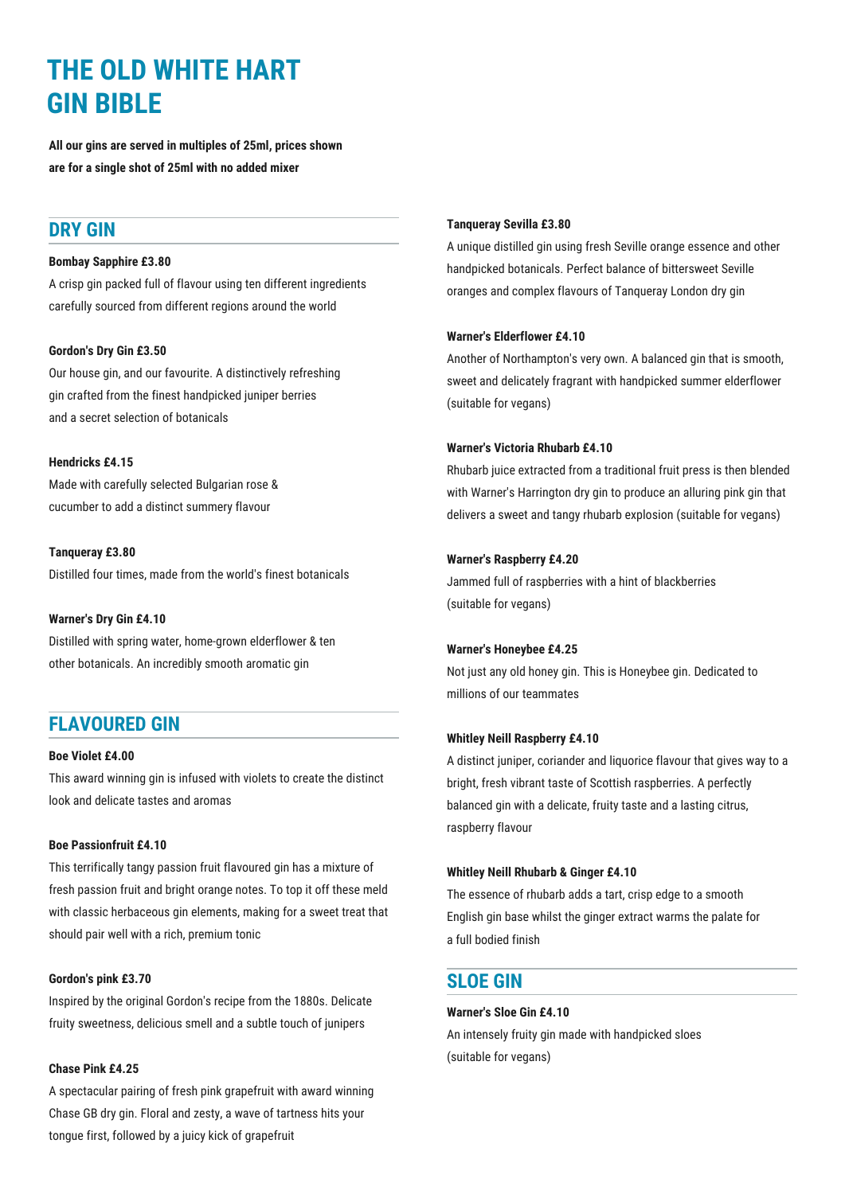# **THE OLD WHITE HART GIN BIBLE**

**All our gins are served in multiples of 25ml, prices shown are for a single shot of 25ml with no added mixer**

## **DRY GIN**

#### **Bombay Sapphire £3.80**

A crisp gin packed full of flavour using ten different ingredients carefully sourced from different regions around the world

### **Gordon's Dry Gin £3.50**

Our house gin, and our favourite. A distinctively refreshing gin crafted from the finest handpicked juniper berries and a secret selection of botanicals

#### **Hendricks £4.15**

Made with carefully selected Bulgarian rose & cucumber to add a distinct summery flavour

**Tanqueray £3.80** Distilled four times, made from the world's finest botanicals

#### **Warner's Dry Gin £4.10**

Distilled with spring water, home-grown elderflower & ten other botanicals. An incredibly smooth aromatic gin

## **FLAVOURED GIN**

#### **Boe Violet £4.00**

This award winning gin is infused with violets to create the distinct look and delicate tastes and aromas

#### **Boe Passionfruit £4.10**

This terrifically tangy passion fruit flavoured gin has a mixture of fresh passion fruit and bright orange notes. To top it off these meld with classic herbaceous gin elements, making for a sweet treat that should pair well with a rich, premium tonic

#### **Gordon's pink £3.70**

Inspired by the original Gordon's recipe from the 1880s. Delicate fruity sweetness, delicious smell and a subtle touch of junipers

#### **Chase Pink £4.25**

A spectacular pairing of fresh pink grapefruit with award winning Chase GB dry gin. Floral and zesty, a wave of tartness hits your tongue first, followed by a juicy kick of grapefruit

#### **Tanqueray Sevilla £3.80**

A unique distilled gin using fresh Seville orange essence and other handpicked botanicals. Perfect balance of bittersweet Seville oranges and complex flavours of Tanqueray London dry gin

#### **Warner's Elderflower £4.10**

Another of Northampton's very own. A balanced gin that is smooth, sweet and delicately fragrant with handpicked summer elderflower (suitable for vegans)

#### **Warner's Victoria Rhubarb £4.10**

Rhubarb juice extracted from a traditional fruit press is then blended with Warner's Harrington dry gin to produce an alluring pink gin that delivers a sweet and tangy rhubarb explosion (suitable for vegans)

#### **Warner's Raspberry £4.20**

Jammed full of raspberries with a hint of blackberries (suitable for vegans)

#### **Warner's Honeybee £4.25**

Not just any old honey gin. This is Honeybee gin. Dedicated to millions of our teammates

#### **Whitley Neill Raspberry £4.10**

A distinct juniper, coriander and liquorice flavour that gives way to a bright, fresh vibrant taste of Scottish raspberries. A perfectly balanced gin with a delicate, fruity taste and a lasting citrus, raspberry flavour

#### **Whitley Neill Rhubarb & Ginger £4.10**

The essence of rhubarb adds a tart, crisp edge to a smooth English gin base whilst the ginger extract warms the palate for a full bodied finish

### **SLOE GIN**

#### **Warner's Sloe Gin £4.10**

An intensely fruity gin made with handpicked sloes (suitable for vegans)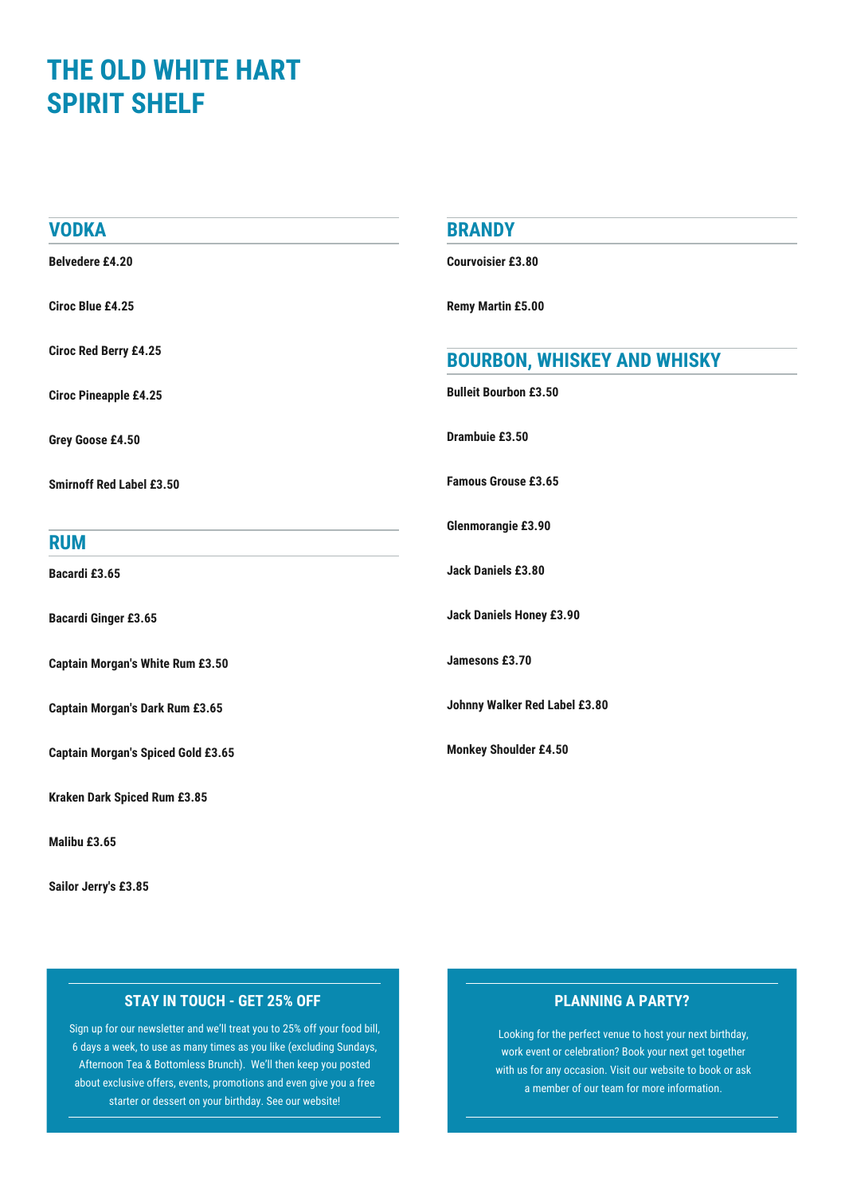## **THE OLD WHITE HART SPIRIT SHELF**

| <b>VODKA</b>                              | <b>BRANDY</b>                      |
|-------------------------------------------|------------------------------------|
| <b>Belvedere £4.20</b>                    | <b>Courvoisier £3.80</b>           |
| <b>Ciroc Blue £4.25</b>                   | <b>Remy Martin £5.00</b>           |
| <b>Ciroc Red Berry £4.25</b>              | <b>BOURBON, WHISKEY AND WHISKY</b> |
| <b>Ciroc Pineapple £4.25</b>              | <b>Bulleit Bourbon £3.50</b>       |
| Grey Goose £4.50                          | Drambuie £3.50                     |
| <b>Smirnoff Red Label £3.50</b>           | <b>Famous Grouse £3.65</b>         |
| <b>RUM</b>                                | Glenmorangie £3.90                 |
| Bacardi £3.65                             | Jack Daniels £3.80                 |
| <b>Bacardi Ginger £3.65</b>               | <b>Jack Daniels Honey £3.90</b>    |
| <b>Captain Morgan's White Rum £3.50</b>   | Jamesons £3.70                     |
| <b>Captain Morgan's Dark Rum £3.65</b>    | Johnny Walker Red Label £3.80      |
| <b>Captain Morgan's Spiced Gold £3.65</b> | <b>Monkey Shoulder £4.50</b>       |
| Kraken Dark Spiced Rum £3.85              |                                    |
| Malibu £3.65                              |                                    |

**Sailor Jerry's £3.85**

## **STAY IN TOUCH - GET 25% OFF PLANNING A PARTY?**

Sign up for our newsletter and we'll treat you to 25% off your food bill, 6 days a week, to use as many times as you like (excluding Sundays, Afternoon Tea & Bottomless Brunch). We'll then keep you posted about exclusive offers, events, promotions and even give you a free starter or dessert on your birthday. See our website!

Looking for the perfect venue to host your next birthday, work event or celebration? Book your next get together with us for any occasion. Visit our website to book or ask a member of our team for more information.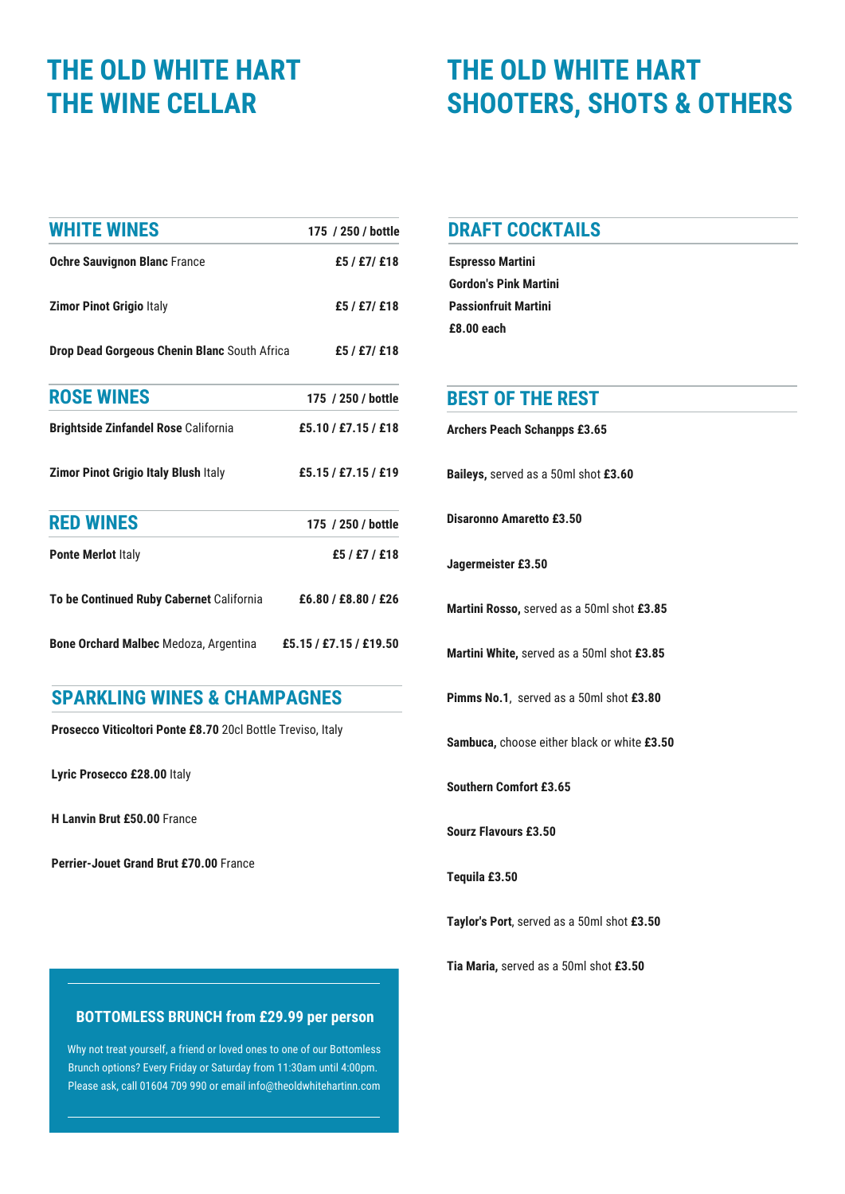# **THE OLD WHITE HART THE WINE CELLAR**

## **THE OLD WHITE HART SHOOTERS, SHOTS & OTHERS**

| <b>WHITE WINES</b>                           | 175 / 250 / bottle     |
|----------------------------------------------|------------------------|
| <b>Ochre Sauvignon Blanc France</b>          | £5 / £7/ £18           |
| <b>Zimor Pinot Grigio Italy</b>              | £5 / £7/ £18           |
| Drop Dead Gorgeous Chenin Blanc South Africa | £5 / £7/ £18           |
| <b>ROSE WINES</b>                            | 175 / 250 / bottle     |
| <b>Brightside Zinfandel Rose California</b>  | £5.10 / £7.15 / £18    |
| <b>Zimor Pinot Grigio Italy Blush Italy</b>  | £5.15 / £7.15 / £19    |
| <b>RED WINES</b>                             | 175 / 250 / bottle     |
| <b>Ponte Merlot Italy</b>                    | £5/£7/£18              |
| To be Continued Ruby Cabernet California     | £6.80 / £8.80 / £26    |
| <b>Bone Orchard Malbec</b> Medoza, Argentina | £5.15 / £7.15 / £19.50 |

## **SPARKLING WINES & CHAMPAGNES**

**Prosecco Viticoltori Ponte £8.70** 20cl Bottle Treviso, Italy

**Lyric Prosecco £28.00** Italy

**H Lanvin Brut £50.00** France

**Perrier-Jouet Grand Brut £70.00** France

### **DRAFT COCKTAILS**

**Espresso Martini Gordon's Pink Martini Passionfruit Martini £8.00 each**

### **BEST OF THE REST**

**Archers Peach Schanpps £3.65**

**Baileys,** served as a 50ml shot **£3.60**

**Disaronno Amaretto £3.50**

**Jagermeister £3.50**

**Martini Rosso,** served as a 50ml shot **£3.85**

**Martini White,** served as a 50ml shot **£3.85**

**Pimms No.1**, served as a 50ml shot **£3.80**

**Sambuca,** choose either black or white **£3.50**

**Southern Comfort £3.65**

**Sourz Flavours £3.50**

**Tequila £3.50**

**Taylor's Port**, served as a 50ml shot **£3.50**

**Tia Maria,** served as a 50ml shot **£3.50**

### **BOTTOMLESS BRUNCH from £29.99 per person**

Why not treat yourself, a friend or loved ones to one of our Bottomless Brunch options? Every Friday or Saturday from 11:30am until 4:00pm. Please ask, call 01604 709 990 or email [info@theoldwhitehartinn.com](mailto:info@theoldwhitehartinn.com)